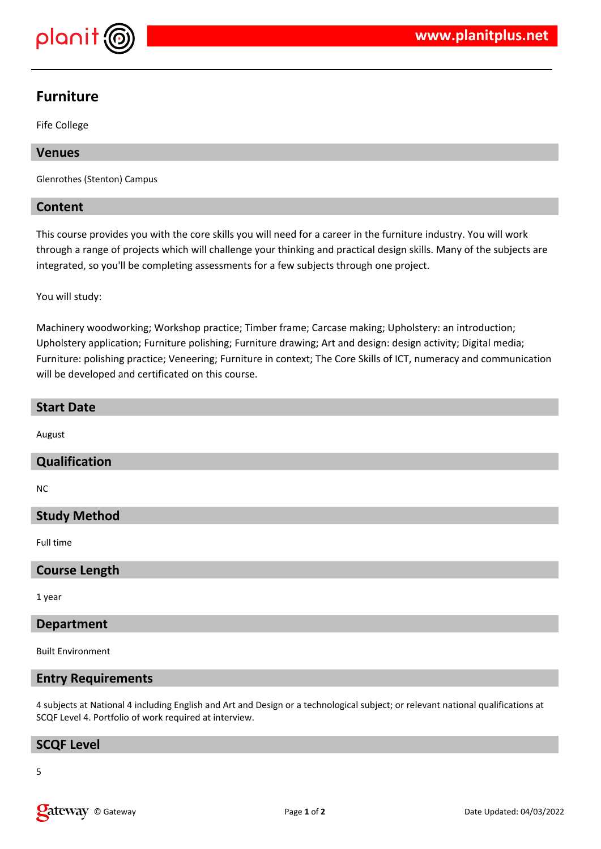

# **Furniture**

Fife College

# **Venues**

Glenrothes (Stenton) Campus

# **Content**

This course provides you with the core skills you will need for a career in the furniture industry. You will work through a range of projects which will challenge your thinking and practical design skills. Many of the subjects are integrated, so you'll be completing assessments for a few subjects through one project.

You will study:

Machinery woodworking; Workshop practice; Timber frame; Carcase making; Upholstery: an introduction; Upholstery application; Furniture polishing; Furniture drawing; Art and design: design activity; Digital media; Furniture: polishing practice; Veneering; Furniture in context; The Core Skills of ICT, numeracy and communication will be developed and certificated on this course.

# **Start Date**

August

# **Qualification**

NC

# **Study Method**

Full time

# **Course Length**

1 year

#### **Department**

Built Environment

# **Entry Requirements**

4 subjects at National 4 including English and Art and Design or a technological subject; or relevant national qualifications at SCQF Level 4. Portfolio of work required at interview.

# **SCQF Level**